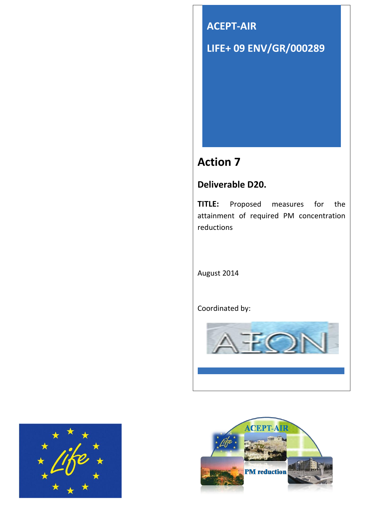

# **Action 7**

## **Deliverable D20.**

**TITLE:** Proposed measures for the attainment of required PM concentration reductions

August 2014

Coordinated by:





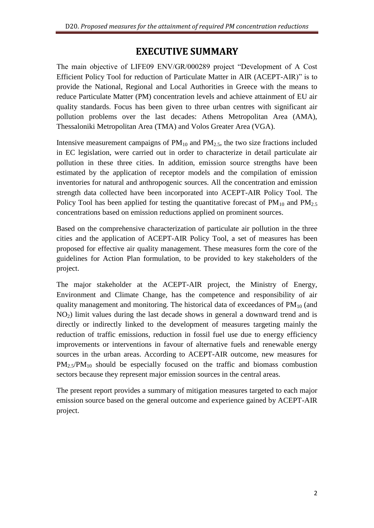### **EXECUTIVE SUMMARY**

<span id="page-1-0"></span>The main objective of LIFE09 ENV/GR/000289 project "Development of A Cost Efficient Policy Tool for reduction of Particulate Matter in AIR (ACEPT-AIR)" is to provide the National, Regional and Local Authorities in Greece with the means to reduce Particulate Matter (PM) concentration levels and achieve attainment of EU air quality standards. Focus has been given to three urban centres with significant air pollution problems over the last decades: Athens Metropolitan Area (AMA), Thessaloniki Metropolitan Area (TMA) and Volos Greater Area (VGA).

Intensive measurement campaigns of  $PM_{10}$  and  $PM_{2.5}$ , the two size fractions included in EC legislation, were carried out in order to characterize in detail particulate air pollution in these three cities. In addition, emission source strengths have been estimated by the application of receptor models and the compilation of emission inventories for natural and anthropogenic sources. All the concentration and emission strength data collected have been incorporated into ACEPT-AIR Policy Tool. The Policy Tool has been applied for testing the quantitative forecast of  $PM_{10}$  and  $PM_{2.5}$ concentrations based on emission reductions applied on prominent sources.

Based on the comprehensive characterization of particulate air pollution in the three cities and the application of ACEPT-AIR Policy Tool, a set of measures has been proposed for effective air quality management. These measures form the core of the guidelines for Action Plan formulation, to be provided to key stakeholders of the project.

The major stakeholder at the ACEPT-AIR project, the Ministry of Energy, Environment and Climate Change, has the competence and responsibility of air quality management and monitoring. The historical data of exceedances of  $PM_{10}$  (and  $NO<sub>2</sub>$ ) limit values during the last decade shows in general a downward trend and is directly or indirectly linked to the development of measures targeting mainly the reduction of traffic emissions, reduction in fossil fuel use due to energy efficiency improvements or interventions in favour of alternative fuels and renewable energy sources in the urban areas. According to ACEPT-AIR outcome, new measures for  $PM_{2.5}/PM_{10}$  should be especially focused on the traffic and biomass combustion sectors because they represent major emission sources in the central areas.

The present report provides a summary of mitigation measures targeted to each major emission source based on the general outcome and experience gained by ACEPT-AIR project.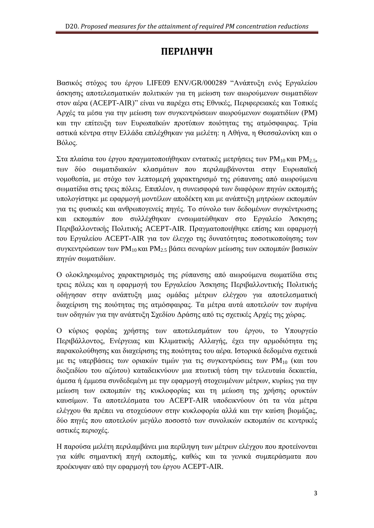# ПЕРІЛНЧН

<span id="page-2-0"></span>Βασικός στόγος του έργου LIFE09 ENV/GR/000289 "Ανάπτυξη ενός Εργαλείου άσκησης αποτελεσματικών πολιτικών για τη μείωση των αιωρούμενων σωματιδίων στον αέρα (ACEPT-AIR)" είναι να παρέχει στις Εθνικές, Περιφερειακές και Τοπικές Αργές τα μέσα για την μείωση των συγκεντρώσεων αιωρούμενων σωματιδίων (PM) και την επίτευξη των Ευρωπαϊκών προτύπων ποιότητας της ατμόσφαιρας. Τρία αστικά κέντρα στην Ελλάδα επιλέχθηκαν για μελέτη: η Αθήνα, η Θεσσαλονίκη και ο Βόλος.

Στα πλαίσια του έργου πραγματοποιήθηκαν εντατικές μετρήσεις των PM<sub>10</sub> και PM<sub>2.5</sub>, των δύο σωματιδιακών κλασμάτων που περιλαμβάνονται στην Ευρωπαϊκή νομοθεσία, με στόχο τον λεπτομερή χαρακτηρισμό της ρύπανσης από αιωρούμενα σωματίδια στις τρεις πόλεις. Επιπλέον, η συνεισφορά των διαφόρων πηγών εκπομπής υπολογίστηκε με εφαρμογή μοντέλων αποδέκτη και με ανάπτυξη μητρώων εκπομπών για τις φυσικές και ανθρωπογενείς πηγές. Το σύνολο των δεδομένων συγκέντρωσης και εκπομπών που συλλέχθηκαν ενσωματώθηκαν στο Εργαλείο Άσκησης Περιβαλλοντικής Πολιτικής ACEPT-AIR. Πραγματοποιήθηκε επίσης και εφαρμογή του Εργαλείου ACEPT-AIR για τον έλεγχο της δυνατότητας ποσοτικοποίησης των συγκεντρώσεων των PM<sub>10</sub> και PM<sub>2.5</sub> βάσει σεναρίων μείωσης των εκπομπών βασικών πηγών σωματιδίων.

Ο ολοκληρωμένος χαρακτηρισμός της ρύπανσης από αιωρούμενα σωματίδια στις τρεις πόλεις και η εφαρμογή του Εργαλείου Άσκησης Περιβαλλοντικής Πολιτικής οδήγησαν στην ανάπτυξη μιας ομάδας μέτρων ελέγχου για αποτελεσματική διαχείριση της ποιότητας της ατμόσφαιρας. Τα μέτρα αυτά αποτελούν τον πυρήνα των οδηγιών για την ανάπτυξη Σχεδίου Δράσης από τις σχετικές Αρχές της χώρας.

Ο κύριος φορέας χρήστης των αποτελεσμάτων του έργου, το Υπουργείο Περιβάλλοντος, Ενέργειας και Κλιματικής Αλλαγής, έγει την αρμοδιότητα της παρακολούθησης και διαχείρισης της ποιότητας του αέρα. Ιστορικά δεδομένα σχετικά με τις υπερβάσεις των οριακών τιμών για τις συγκεντρώσεις των PM<sub>10</sub> (και του διοξειδίου του αζώτου) καταδεικνύουν μια πτωτική τάση την τελευταία δεκαετία, άμεσα ή έμμεσα συνδεδεμένη με την εφαρμογή στοχευμένων μέτρων, κυρίως για την μείωση των εκπομπών της κυκλοφορίας και τη μείωση της χρήσης ορυκτών καυσίμων. Τα αποτελέσματα του ACEPT-AIR υποδεικνύουν ότι τα νέα μέτρα ελέγχου θα πρέπει να στοχεύσουν στην κυκλοφορία αλλά και την καύση βιομάζας, δύο πηγές που αποτελούν μεγάλο ποσοστό των συνολικών εκπομπών σε κεντρικές αστικές περιοχές.

Η παρούσα μελέτη περιλαμβάνει μια περίληψη των μέτρων ελέγχου που προτείνονται για κάθε σημαντική πηγή εκπομπής, καθώς και τα γενικά συμπεράσματα που προέκυψαν από την εφαρμογή του έργου ACEPT-AIR.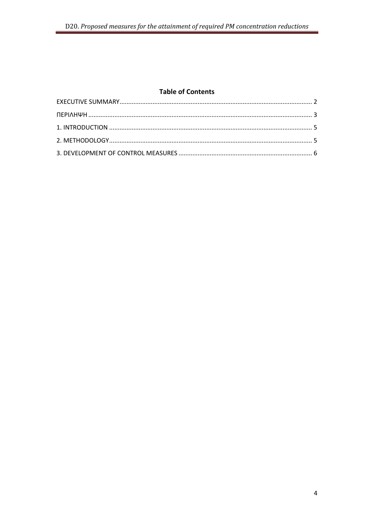#### **Table of Contents**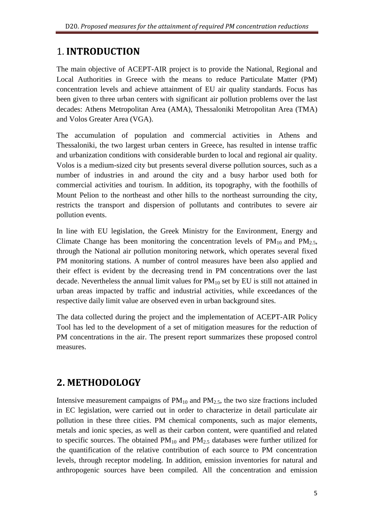## <span id="page-4-0"></span>**1. INTRODUCTION**

The main objective of ACEPT-AIR project is to provide the National, Regional and Local Authorities in Greece with the means to reduce Particulate Matter (PM) concentration levels and achieve attainment of EU air quality standards. Focus has been given to three urban centers with significant air pollution problems over the last decades: Athens Metropolitan Area (AMA), Thessaloniki Metropolitan Area (TMA) and Volos Greater Area (VGA).

The accumulation of population and commercial activities in Athens and Thessaloniki, the two largest urban centers in Greece, has resulted in intense traffic and urbanization conditions with considerable burden to local and regional air quality. Volos is a medium-sized city but presents several diverse pollution sources, such as a number of industries in and around the city and a busy harbor used both for commercial activities and tourism. In addition, its topography, with the foothills of Mount Pelion to the northeast and other hills to the northeast surrounding the city, restricts the transport and dispersion of pollutants and contributes to severe air pollution events.

In line with EU legislation, the Greek Ministry for the Environment, Energy and Climate Change has been monitoring the concentration levels of  $PM_{10}$  and  $PM_{2.5}$ , through the National air pollution monitoring network, which operates several fixed PM monitoring stations. A number of control measures have been also applied and their effect is evident by the decreasing trend in PM concentrations over the last decade. Nevertheless the annual limit values for  $PM_{10}$  set by EU is still not attained in urban areas impacted by traffic and industrial activities, while exceedances of the respective daily limit value are observed even in urban background sites.

The data collected during the project and the implementation of ACEPT-AIR Policy Tool has led to the development of a set of mitigation measures for the reduction of PM concentrations in the air. The present report summarizes these proposed control measures.

# <span id="page-4-1"></span>2. METHODOLOGY

Intensive measurement campaigns of  $PM_{10}$  and  $PM_{2.5}$ , the two size fractions included in EC legislation, were carried out in order to characterize in detail particulate air pollution in these three cities. PM chemical components, such as major elements, metals and ionic species, as well as their carbon content, were quantified and related to specific sources. The obtained  $PM_{10}$  and  $PM_{2.5}$  databases were further utilized for the quantification of the relative contribution of each source to PM concentration levels, through receptor modeling. In addition, emission inventories for natural and anthropogenic sources have been compiled. All the concentration and emission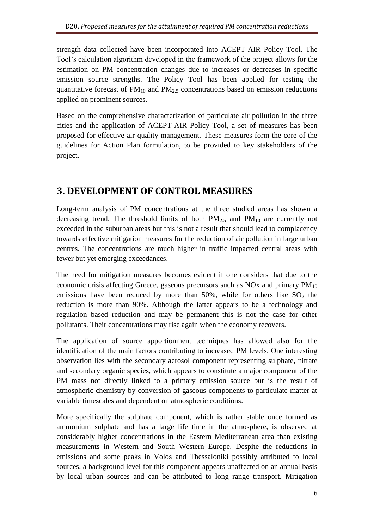strength data collected have been incorporated into ACEPT-AIR Policy Tool. The Tool's calculation algorithm developed in the framework of the project allows for the estimation on PM concentration changes due to increases or decreases in specific emission source strengths. The Policy Tool has been applied for testing the quantitative forecast of  $PM_{10}$  and  $PM_{2.5}$  concentrations based on emission reductions applied on prominent sources.

Based on the comprehensive characterization of particulate air pollution in the three cities and the application of ACEPT-AIR Policy Tool, a set of measures has been proposed for effective air quality management. These measures form the core of the guidelines for Action Plan formulation, to be provided to key stakeholders of the project.

# <span id="page-5-0"></span>**3. DEVELOPMENT OF CONTROL MEASURES**

Long-term analysis of PM concentrations at the three studied areas has shown a decreasing trend. The threshold limits of both  $PM_{2.5}$  and  $PM_{10}$  are currently not exceeded in the suburban areas but this is not a result that should lead to complacency towards effective mitigation measures for the reduction of air pollution in large urban centres. The concentrations are much higher in traffic impacted central areas with fewer but yet emerging exceedances.

The need for mitigation measures becomes evident if one considers that due to the economic crisis affecting Greece, gaseous precursors such as  $NOx$  and primary  $PM_{10}$ emissions have been reduced by more than 50%, while for others like  $SO_2$  the reduction is more than 90%. Although the latter appears to be a technology and regulation based reduction and may be permanent this is not the case for other pollutants. Their concentrations may rise again when the economy recovers.

The application of source apportionment techniques has allowed also for the identification of the main factors contributing to increased PM levels. One interesting observation lies with the secondary aerosol component representing sulphate, nitrate and secondary organic species, which appears to constitute a major component of the PM mass not directly linked to a primary emission source but is the result of atmospheric chemistry by conversion of gaseous components to particulate matter at variable timescales and dependent on atmospheric conditions.

More specifically the sulphate component, which is rather stable once formed as ammonium sulphate and has a large life time in the atmosphere, is observed at considerably higher concentrations in the Eastern Mediterranean area than existing measurements in Western and South Western Europe. Despite the reductions in emissions and some peaks in Volos and Thessaloniki possibly attributed to local sources, a background level for this component appears unaffected on an annual basis by local urban sources and can be attributed to long range transport. Mitigation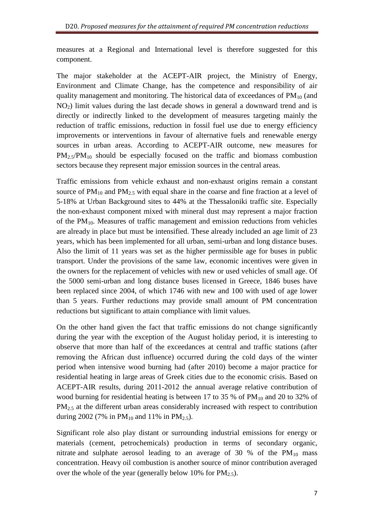measures at a Regional and International level is therefore suggested for this component.

The major stakeholder at the ACEPT-AIR project, the Ministry of Energy, Environment and Climate Change, has the competence and responsibility of air quality management and monitoring. The historical data of exceedances of  $PM_{10}$  (and  $NO<sub>2</sub>$ ) limit values during the last decade shows in general a downward trend and is directly or indirectly linked to the development of measures targeting mainly the reduction of traffic emissions, reduction in fossil fuel use due to energy efficiency improvements or interventions in favour of alternative fuels and renewable energy sources in urban areas. According to ACEPT-AIR outcome, new measures for  $PM_{2.5}/PM_{10}$  should be especially focused on the traffic and biomass combustion sectors because they represent major emission sources in the central areas.

Traffic emissions from vehicle exhaust and non-exhaust origins remain a constant source of  $PM_{10}$  and  $PM_{2.5}$  with equal share in the coarse and fine fraction at a level of 5-18% at Urban Background sites to 44% at the Thessaloniki traffic site. Especially the non-exhaust component mixed with mineral dust may represent a major fraction of the  $PM_{10}$ . Measures of traffic management and emission reductions from vehicles are already in place but must be intensified. These already included an age limit of 23 years, which has been implemented for all urban, semi-urban and long distance buses. Also the limit of 11 years was set as the higher permissible age for buses in public transport. Under the provisions of the same law, economic incentives were given in the owners for the replacement of vehicles with new or used vehicles of small age. Of the 5000 semi-urban and long distance buses licensed in Greece, 1846 buses have been replaced since 2004, of which 1746 with new and 100 with used of age lower than 5 years. Further reductions may provide small amount of PM concentration reductions but significant to attain compliance with limit values.

On the other hand given the fact that traffic emissions do not change significantly during the year with the exception of the August holiday period, it is interesting to observe that more than half of the exceedances at central and traffic stations (after removing the African dust influence) occurred during the cold days of the winter period when intensive wood burning had (after 2010) become a major practice for residential heating in large areas of Greek cities due to the economic crisis. Based on ACEPT-AIR results, during 2011-2012 the annual average relative contribution of wood burning for residential heating is between 17 to 35 % of  $PM_{10}$  and 20 to 32% of PM<sub>2.5</sub> at the different urban areas considerably increased with respect to contribution during 2002 (7% in  $PM_{10}$  and 11% in  $PM_{2.5}$ ).

Significant role also play distant or surrounding industrial emissions for energy or materials (cement, petrochemicals) production in terms of secondary organic, nitrate and sulphate aerosol leading to an average of 30 % of the  $PM_{10}$  mass concentration. Heavy oil combustion is another source of minor contribution averaged over the whole of the year (generally below 10% for  $PM_{2.5}$ ).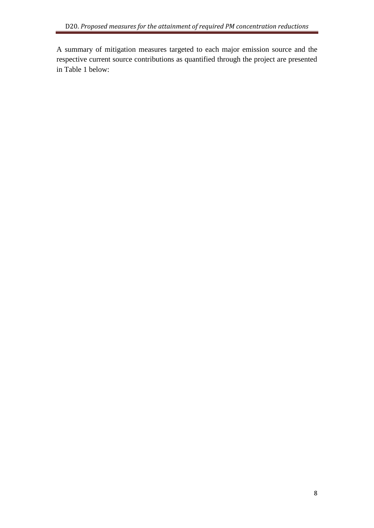A summary of mitigation measures targeted to each major emission source and the respective current source contributions as quantified through the project are presented in Table 1 below: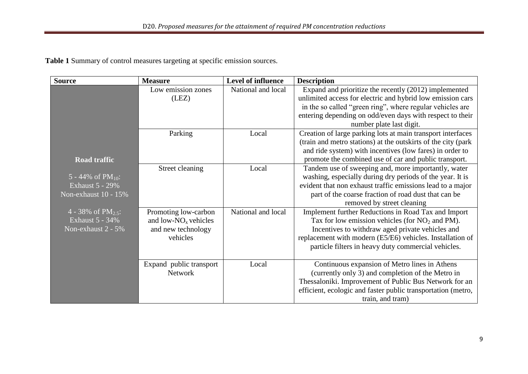**Table 1** Summary of control measures targeting at specific emission sources.

| <b>Source</b>           | <b>Measure</b>          | <b>Level of influence</b> | <b>Description</b>                                            |
|-------------------------|-------------------------|---------------------------|---------------------------------------------------------------|
|                         | Low emission zones      | National and local        | Expand and prioritize the recently (2012) implemented         |
|                         | (LEZ)                   |                           | unlimited access for electric and hybrid low emission cars    |
|                         |                         |                           | in the so called "green ring", where regular vehicles are     |
|                         |                         |                           | entering depending on odd/even days with respect to their     |
|                         |                         |                           | number plate last digit.                                      |
|                         | Parking                 | Local                     | Creation of large parking lots at main transport interfaces   |
|                         |                         |                           | (train and metro stations) at the outskirts of the city (park |
|                         |                         |                           | and ride system) with incentives (low fares) in order to      |
| <b>Road traffic</b>     |                         |                           | promote the combined use of car and public transport.         |
|                         | Street cleaning         | Local                     | Tandem use of sweeping and, more importantly, water           |
| 5 - 44% of $PM_{10}$ :  |                         |                           | washing, especially during dry periods of the year. It is     |
| <b>Exhaust 5 - 29%</b>  |                         |                           | evident that non exhaust traffic emissions lead to a major    |
| Non-exhaust 10 - 15%    |                         |                           | part of the coarse fraction of road dust that can be          |
|                         |                         |                           | removed by street cleaning                                    |
| 4 - 38% of $PM_{2.5}$ : | Promoting low-carbon    | National and local        | Implement further Reductions in Road Tax and Import           |
| <b>Exhaust 5 - 34%</b>  | and low- $NOx$ vehicles |                           | Tax for low emission vehicles (for $NO2$ and PM).             |
| Non-exhaust 2 - 5%      | and new technology      |                           | Incentives to withdraw aged private vehicles and              |
|                         | vehicles                |                           | replacement with modern (E5/E6) vehicles. Installation of     |
|                         |                         |                           | particle filters in heavy duty commercial vehicles.           |
|                         | Expand public transport | Local                     | Continuous expansion of Metro lines in Athens                 |
|                         | Network                 |                           | (currently only 3) and completion of the Metro in             |
|                         |                         |                           | Thessaloniki. Improvement of Public Bus Network for an        |
|                         |                         |                           | efficient, ecologic and faster public transportation (metro,  |
|                         |                         |                           | train, and tram)                                              |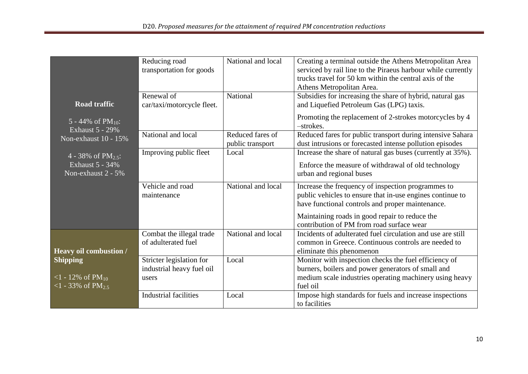| <b>Road traffic</b><br>5 - 44% of $PM_{10}$ :<br><b>Exhaust 5 - 29%</b><br>Non-exhaust 10 - 15% | Reducing road<br>transportation for goods<br>Renewal of<br>car/taxi/motorcycle fleet. | National and local<br>National       | Creating a terminal outside the Athens Metropolitan Area<br>serviced by rail line to the Piraeus harbour while currently<br>trucks travel for 50 km within the central axis of the<br>Athens Metropolitan Area.<br>Subsidies for increasing the share of hybrid, natural gas<br>and Liquefied Petroleum Gas (LPG) taxis.<br>Promoting the replacement of 2-strokes motorcycles by 4<br>-strokes. |
|-------------------------------------------------------------------------------------------------|---------------------------------------------------------------------------------------|--------------------------------------|--------------------------------------------------------------------------------------------------------------------------------------------------------------------------------------------------------------------------------------------------------------------------------------------------------------------------------------------------------------------------------------------------|
|                                                                                                 | National and local                                                                    | Reduced fares of<br>public transport | Reduced fares for public transport during intensive Sahara<br>dust intrusions or forecasted intense pollution episodes                                                                                                                                                                                                                                                                           |
| 4 - 38% of $PM_{2.5}$ :<br><b>Exhaust 5 - 34%</b><br>Non-exhaust $2 - 5\%$                      | Improving public fleet                                                                | Local                                | Increase the share of natural gas buses (currently at 35%).<br>Enforce the measure of withdrawal of old technology<br>urban and regional buses                                                                                                                                                                                                                                                   |
|                                                                                                 | Vehicle and road<br>maintenance                                                       | National and local                   | Increase the frequency of inspection programmes to<br>public vehicles to ensure that in-use engines continue to<br>have functional controls and proper maintenance.<br>Maintaining roads in good repair to reduce the<br>contribution of PM from road surface wear                                                                                                                               |
| Heavy oil combustion /                                                                          | Combat the illegal trade<br>of adulterated fuel                                       | National and local                   | Incidents of adulterated fuel circulation and use are still<br>common in Greece. Continuous controls are needed to<br>eliminate this phenomenon                                                                                                                                                                                                                                                  |
| <b>Shipping</b><br><1 - 12% of $PM_{10}$<br>$1 - 33\% \text{ of } P\overline{\text{M}_{2.5}}$   | Stricter legislation for<br>industrial heavy fuel oil<br>users                        | Local                                | Monitor with inspection checks the fuel efficiency of<br>burners, boilers and power generators of small and<br>medium scale industries operating machinery using heavy<br>fuel oil                                                                                                                                                                                                               |
|                                                                                                 | Industrial facilities                                                                 | Local                                | Impose high standards for fuels and increase inspections<br>to facilities                                                                                                                                                                                                                                                                                                                        |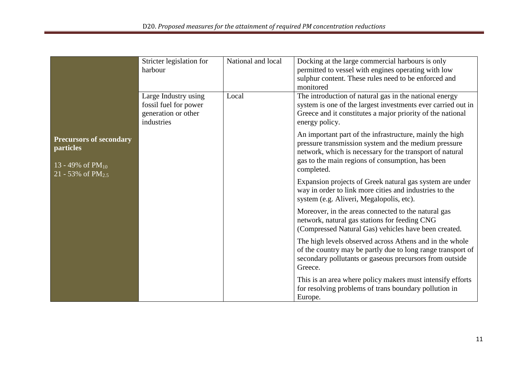|                                                                                                       | Stricter legislation for<br>harbour                                                | National and local | Docking at the large commercial harbours is only<br>permitted to vessel with engines operating with low<br>sulphur content. These rules need to be enforced and<br>monitored                                                                   |
|-------------------------------------------------------------------------------------------------------|------------------------------------------------------------------------------------|--------------------|------------------------------------------------------------------------------------------------------------------------------------------------------------------------------------------------------------------------------------------------|
|                                                                                                       | Large Industry using<br>fossil fuel for power<br>generation or other<br>industries | Local              | The introduction of natural gas in the national energy<br>system is one of the largest investments ever carried out in<br>Greece and it constitutes a major priority of the national<br>energy policy.                                         |
| <b>Precursors of secondary</b><br><b>particles</b><br>13 - 49% of $PM_{10}$<br>21 - 53% of $PM_{2.5}$ |                                                                                    |                    | An important part of the infrastructure, mainly the high<br>pressure transmission system and the medium pressure<br>network, which is necessary for the transport of natural<br>gas to the main regions of consumption, has been<br>completed. |
|                                                                                                       |                                                                                    |                    | Expansion projects of Greek natural gas system are under<br>way in order to link more cities and industries to the<br>system (e.g. Aliveri, Megalopolis, etc).                                                                                 |
|                                                                                                       |                                                                                    |                    | Moreover, in the areas connected to the natural gas<br>network, natural gas stations for feeding CNG<br>(Compressed Natural Gas) vehicles have been created.                                                                                   |
|                                                                                                       |                                                                                    |                    | The high levels observed across Athens and in the whole<br>of the country may be partly due to long range transport of<br>secondary pollutants or gaseous precursors from outside<br>Greece.                                                   |
|                                                                                                       |                                                                                    |                    | This is an area where policy makers must intensify efforts<br>for resolving problems of trans boundary pollution in<br>Europe.                                                                                                                 |